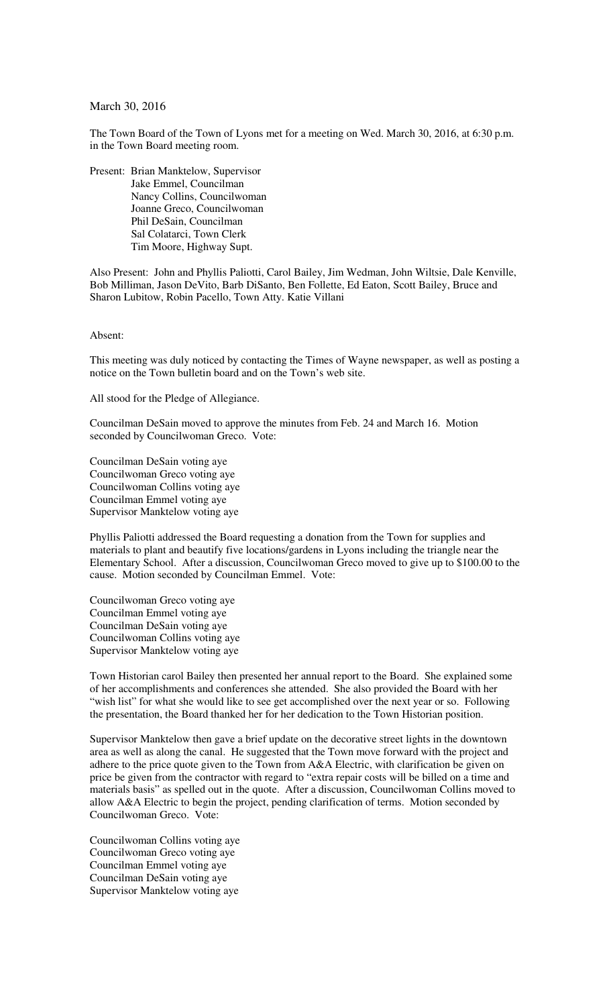## March 30, 2016

The Town Board of the Town of Lyons met for a meeting on Wed. March 30, 2016, at 6:30 p.m. in the Town Board meeting room.

Present: Brian Manktelow, Supervisor Jake Emmel, Councilman Nancy Collins, Councilwoman Joanne Greco, Councilwoman Phil DeSain, Councilman Sal Colatarci, Town Clerk Tim Moore, Highway Supt.

Also Present: John and Phyllis Paliotti, Carol Bailey, Jim Wedman, John Wiltsie, Dale Kenville, Bob Milliman, Jason DeVito, Barb DiSanto, Ben Follette, Ed Eaton, Scott Bailey, Bruce and Sharon Lubitow, Robin Pacello, Town Atty. Katie Villani

Absent:

This meeting was duly noticed by contacting the Times of Wayne newspaper, as well as posting a notice on the Town bulletin board and on the Town's web site.

All stood for the Pledge of Allegiance.

Councilman DeSain moved to approve the minutes from Feb. 24 and March 16. Motion seconded by Councilwoman Greco. Vote:

Councilman DeSain voting aye Councilwoman Greco voting aye Councilwoman Collins voting aye Councilman Emmel voting aye Supervisor Manktelow voting aye

Phyllis Paliotti addressed the Board requesting a donation from the Town for supplies and materials to plant and beautify five locations/gardens in Lyons including the triangle near the Elementary School. After a discussion, Councilwoman Greco moved to give up to \$100.00 to the cause. Motion seconded by Councilman Emmel. Vote:

Councilwoman Greco voting aye Councilman Emmel voting aye Councilman DeSain voting aye Councilwoman Collins voting aye Supervisor Manktelow voting aye

Town Historian carol Bailey then presented her annual report to the Board. She explained some of her accomplishments and conferences she attended. She also provided the Board with her "wish list" for what she would like to see get accomplished over the next year or so. Following the presentation, the Board thanked her for her dedication to the Town Historian position.

Supervisor Manktelow then gave a brief update on the decorative street lights in the downtown area as well as along the canal. He suggested that the Town move forward with the project and adhere to the price quote given to the Town from A&A Electric, with clarification be given on price be given from the contractor with regard to "extra repair costs will be billed on a time and materials basis" as spelled out in the quote. After a discussion, Councilwoman Collins moved to allow A&A Electric to begin the project, pending clarification of terms. Motion seconded by Councilwoman Greco. Vote:

Councilwoman Collins voting aye Councilwoman Greco voting aye Councilman Emmel voting aye Councilman DeSain voting aye Supervisor Manktelow voting aye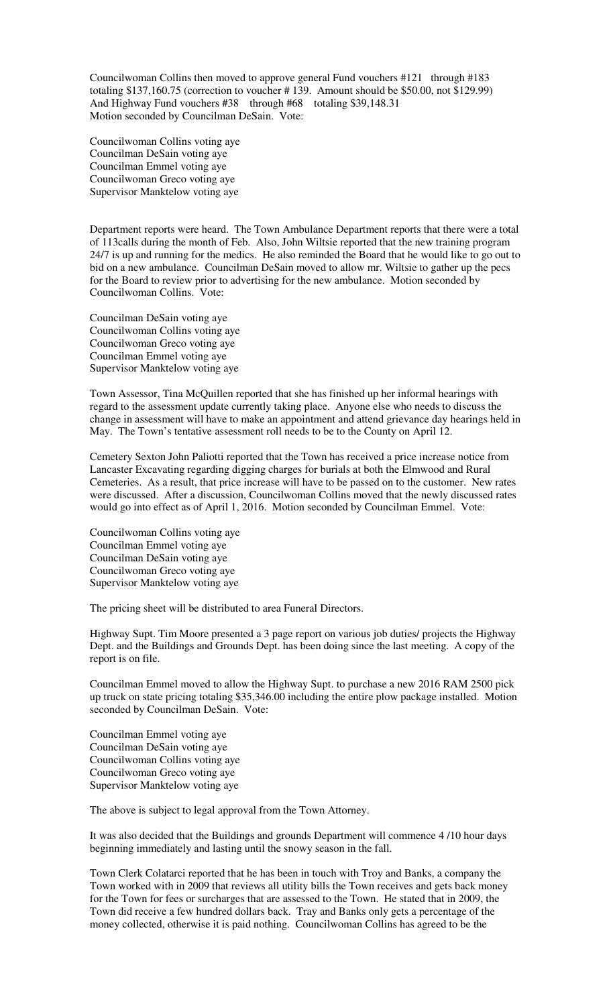Councilwoman Collins then moved to approve general Fund vouchers #121 through #183 totaling \$137,160.75 (correction to voucher # 139. Amount should be \$50.00, not \$129.99) And Highway Fund vouchers #38 through #68 totaling \$39,148.31 Motion seconded by Councilman DeSain. Vote:

Councilwoman Collins voting aye Councilman DeSain voting aye Councilman Emmel voting aye Councilwoman Greco voting aye Supervisor Manktelow voting aye

Department reports were heard. The Town Ambulance Department reports that there were a total of 113calls during the month of Feb. Also, John Wiltsie reported that the new training program 24/7 is up and running for the medics. He also reminded the Board that he would like to go out to bid on a new ambulance. Councilman DeSain moved to allow mr. Wiltsie to gather up the pecs for the Board to review prior to advertising for the new ambulance. Motion seconded by Councilwoman Collins. Vote:

Councilman DeSain voting aye Councilwoman Collins voting aye Councilwoman Greco voting aye Councilman Emmel voting aye Supervisor Manktelow voting aye

Town Assessor, Tina McQuillen reported that she has finished up her informal hearings with regard to the assessment update currently taking place. Anyone else who needs to discuss the change in assessment will have to make an appointment and attend grievance day hearings held in May. The Town's tentative assessment roll needs to be to the County on April 12.

Cemetery Sexton John Paliotti reported that the Town has received a price increase notice from Lancaster Excavating regarding digging charges for burials at both the Elmwood and Rural Cemeteries. As a result, that price increase will have to be passed on to the customer. New rates were discussed. After a discussion, Councilwoman Collins moved that the newly discussed rates would go into effect as of April 1, 2016. Motion seconded by Councilman Emmel. Vote:

Councilwoman Collins voting aye Councilman Emmel voting aye Councilman DeSain voting aye Councilwoman Greco voting aye Supervisor Manktelow voting aye

The pricing sheet will be distributed to area Funeral Directors.

Highway Supt. Tim Moore presented a 3 page report on various job duties/ projects the Highway Dept. and the Buildings and Grounds Dept. has been doing since the last meeting. A copy of the report is on file.

Councilman Emmel moved to allow the Highway Supt. to purchase a new 2016 RAM 2500 pick up truck on state pricing totaling \$35,346.00 including the entire plow package installed. Motion seconded by Councilman DeSain. Vote:

Councilman Emmel voting aye Councilman DeSain voting aye Councilwoman Collins voting aye Councilwoman Greco voting aye Supervisor Manktelow voting aye

The above is subject to legal approval from the Town Attorney.

It was also decided that the Buildings and grounds Department will commence 4 /10 hour days beginning immediately and lasting until the snowy season in the fall.

Town Clerk Colatarci reported that he has been in touch with Troy and Banks, a company the Town worked with in 2009 that reviews all utility bills the Town receives and gets back money for the Town for fees or surcharges that are assessed to the Town. He stated that in 2009, the Town did receive a few hundred dollars back. Tray and Banks only gets a percentage of the money collected, otherwise it is paid nothing. Councilwoman Collins has agreed to be the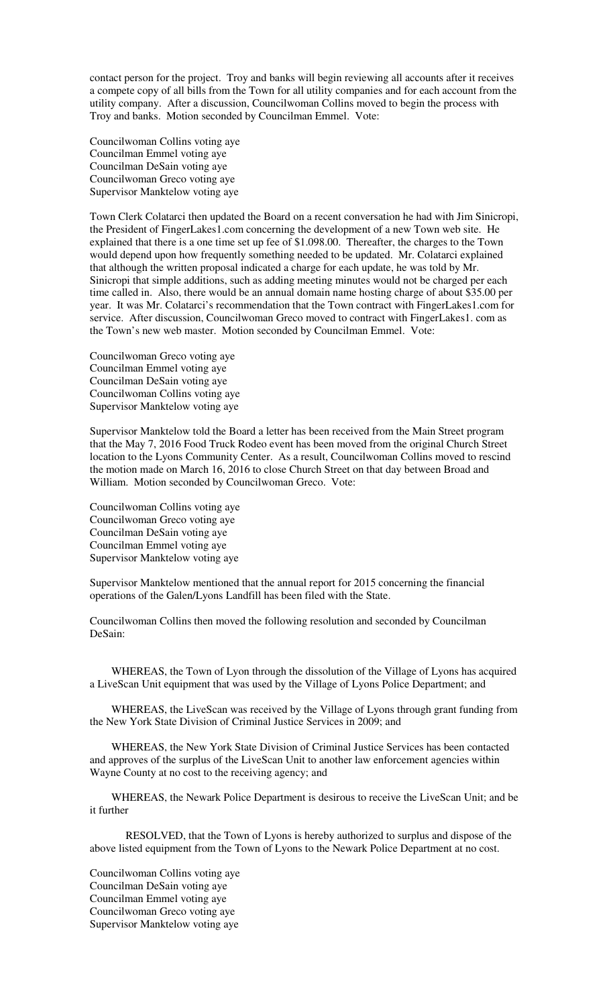contact person for the project. Troy and banks will begin reviewing all accounts after it receives a compete copy of all bills from the Town for all utility companies and for each account from the utility company. After a discussion, Councilwoman Collins moved to begin the process with Troy and banks. Motion seconded by Councilman Emmel. Vote:

Councilwoman Collins voting aye Councilman Emmel voting aye Councilman DeSain voting aye Councilwoman Greco voting aye Supervisor Manktelow voting aye

Town Clerk Colatarci then updated the Board on a recent conversation he had with Jim Sinicropi, the President of FingerLakes1.com concerning the development of a new Town web site. He explained that there is a one time set up fee of \$1.098.00. Thereafter, the charges to the Town would depend upon how frequently something needed to be updated. Mr. Colatarci explained that although the written proposal indicated a charge for each update, he was told by Mr. Sinicropi that simple additions, such as adding meeting minutes would not be charged per each time called in. Also, there would be an annual domain name hosting charge of about \$35.00 per year. It was Mr. Colatarci's recommendation that the Town contract with FingerLakes1.com for service. After discussion, Councilwoman Greco moved to contract with FingerLakes1. com as the Town's new web master. Motion seconded by Councilman Emmel. Vote:

Councilwoman Greco voting aye Councilman Emmel voting aye Councilman DeSain voting aye Councilwoman Collins voting aye Supervisor Manktelow voting aye

Supervisor Manktelow told the Board a letter has been received from the Main Street program that the May 7, 2016 Food Truck Rodeo event has been moved from the original Church Street location to the Lyons Community Center. As a result, Councilwoman Collins moved to rescind the motion made on March 16, 2016 to close Church Street on that day between Broad and William. Motion seconded by Councilwoman Greco. Vote:

Councilwoman Collins voting aye Councilwoman Greco voting aye Councilman DeSain voting aye Councilman Emmel voting aye Supervisor Manktelow voting aye

Supervisor Manktelow mentioned that the annual report for 2015 concerning the financial operations of the Galen/Lyons Landfill has been filed with the State.

Councilwoman Collins then moved the following resolution and seconded by Councilman DeSain:

WHEREAS, the Town of Lyon through the dissolution of the Village of Lyons has acquired a LiveScan Unit equipment that was used by the Village of Lyons Police Department; and

WHEREAS, the LiveScan was received by the Village of Lyons through grant funding from the New York State Division of Criminal Justice Services in 2009; and

WHEREAS, the New York State Division of Criminal Justice Services has been contacted and approves of the surplus of the LiveScan Unit to another law enforcement agencies within Wayne County at no cost to the receiving agency; and

WHEREAS, the Newark Police Department is desirous to receive the LiveScan Unit; and be it further

 RESOLVED, that the Town of Lyons is hereby authorized to surplus and dispose of the above listed equipment from the Town of Lyons to the Newark Police Department at no cost.

Councilwoman Collins voting aye Councilman DeSain voting aye Councilman Emmel voting aye Councilwoman Greco voting aye Supervisor Manktelow voting aye